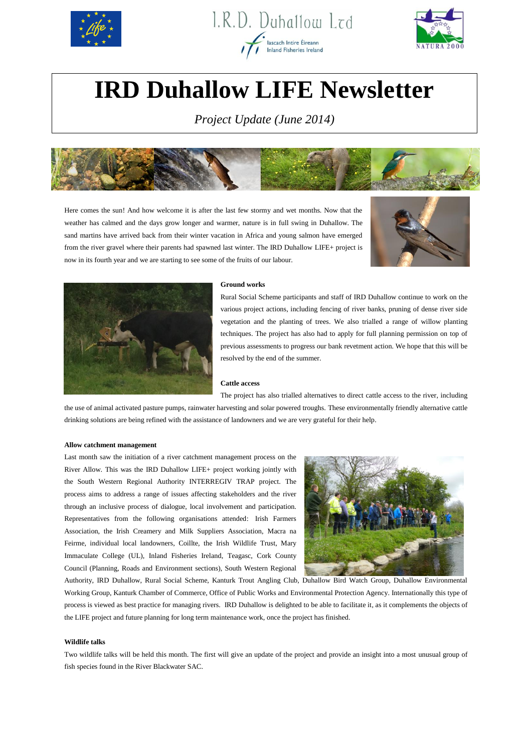





# **IRD Duhallow LIFE Newsletter**

*Project Update (June 2014)*



Here comes the sun! And how welcome it is after the last few stormy and wet months. Now that the weather has calmed and the days grow longer and warmer, nature is in full swing in Duhallow. The sand martins have arrived back from their winter vacation in Africa and young salmon have emerged from the river gravel where their parents had spawned last winter. The IRD Duhallow LIFE+ project is now in its fourth year and we are starting to see some of the fruits of our labour.





#### **Ground works**

Rural Social Scheme participants and staff of IRD Duhallow continue to work on the various project actions, including fencing of river banks, pruning of dense river side vegetation and the planting of trees. We also trialled a range of willow planting techniques. The project has also had to apply for full planning permission on top of previous assessments to progress our bank revetment action. We hope that this will be resolved by the end of the summer.

## **Cattle access**

The project has also trialled alternatives to direct cattle access to the river, including the use of animal activated pasture pumps, rainwater harvesting and solar powered troughs. These environmentally friendly alternative cattle drinking solutions are being refined with the assistance of landowners and we are very grateful for their help.

#### **Allow catchment management**

Last month saw the initiation of a river catchment management process on the River Allow. This was the IRD Duhallow LIFE+ project working jointly with the South Western Regional Authority INTERREGIV TRAP project. The process aims to address a range of issues affecting stakeholders and the river through an inclusive process of dialogue, local involvement and participation. Representatives from the following organisations attended: Irish Farmers Association, the Irish Creamery and Milk Suppliers Association, Macra na Feirme, individual local landowners, Coillte, the Irish Wildlife Trust, Mary Immaculate College (UL), Inland Fisheries Ireland, Teagasc, Cork County Council (Planning, Roads and Environment sections), South Western Regional



Authority, IRD Duhallow, Rural Social Scheme, Kanturk Trout Angling Club, Duhallow Bird Watch Group, Duhallow Environmental Working Group, Kanturk Chamber of Commerce, Office of Public Works and Environmental Protection Agency. Internationally this type of process is viewed as best practice for managing rivers. IRD Duhallow is delighted to be able to facilitate it, as it complements the objects of the LIFE project and future planning for long term maintenance work, once the project has finished.

## **Wildlife talks**

Two wildlife talks will be held this month. The first will give an update of the project and provide an insight into a most unusual group of fish species found in the River Blackwater SAC.